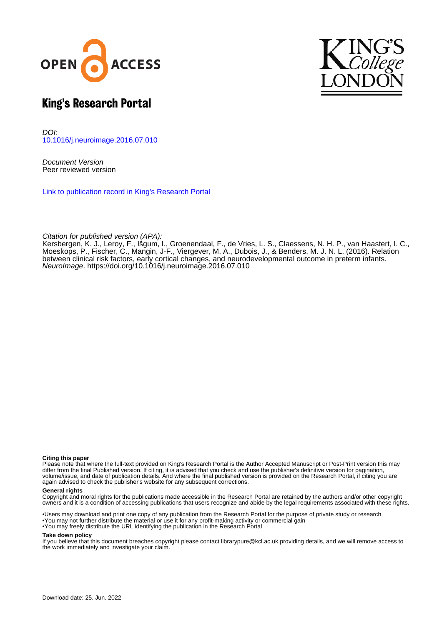



#### King's Research Portal

DOI: [10.1016/j.neuroimage.2016.07.010](https://doi.org/10.1016/j.neuroimage.2016.07.010)

Document Version Peer reviewed version

[Link to publication record in King's Research Portal](https://kclpure.kcl.ac.uk/portal/en/publications/relation-between-clinical-risk-factors-early-cortical-changes-and-neurodevelopmental-outcome-in-preterm-infants(700081b6-4e85-47a8-ba62-4cdd7525baea).html)

Citation for published version (APA):

Kersbergen, K. J., Leroy, F., Išgum, I., Groenendaal, F., de Vries, L. S., Claessens, N. H. P., van Haastert, I. C., Moeskops, P., Fischer, C., Mangin, J-F., Viergever, M. A., Dubois, J.[, & Benders, M. J. N. L.](https://kclpure.kcl.ac.uk/portal/en/persons/manon-benders(a8667d63-79e5-4ba5-96ee-1f35262111b6).html) (2016). [Relation](https://kclpure.kcl.ac.uk/portal/en/publications/relation-between-clinical-risk-factors-early-cortical-changes-and-neurodevelopmental-outcome-in-preterm-infants(700081b6-4e85-47a8-ba62-4cdd7525baea).html) [between clinical risk factors, early cortical changes, and neurodevelopmental outcome in preterm infants.](https://kclpure.kcl.ac.uk/portal/en/publications/relation-between-clinical-risk-factors-early-cortical-changes-and-neurodevelopmental-outcome-in-preterm-infants(700081b6-4e85-47a8-ba62-4cdd7525baea).html) [NeuroImage](https://kclpure.kcl.ac.uk/portal/en/journals/neuroimage(f31d4a43-10a8-4a39-8d29-04f6dd8ce35d).html). <https://doi.org/10.1016/j.neuroimage.2016.07.010>

#### **Citing this paper**

Please note that where the full-text provided on King's Research Portal is the Author Accepted Manuscript or Post-Print version this may differ from the final Published version. If citing, it is advised that you check and use the publisher's definitive version for pagination, volume/issue, and date of publication details. And where the final published version is provided on the Research Portal, if citing you are again advised to check the publisher's website for any subsequent corrections.

#### **General rights**

Copyright and moral rights for the publications made accessible in the Research Portal are retained by the authors and/or other copyright owners and it is a condition of accessing publications that users recognize and abide by the legal requirements associated with these rights.

•Users may download and print one copy of any publication from the Research Portal for the purpose of private study or research. •You may not further distribute the material or use it for any profit-making activity or commercial gain •You may freely distribute the URL identifying the publication in the Research Portal

#### **Take down policy**

If you believe that this document breaches copyright please contact librarypure@kcl.ac.uk providing details, and we will remove access to the work immediately and investigate your claim.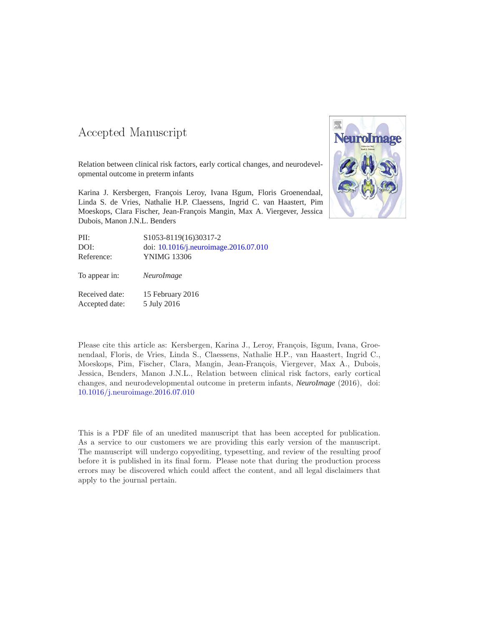#### -- -

Relation between clinical risk factors, early cortical changes, and neurodevelopmental outcome in preterm infants

Karina J. Kersbergen, François Leroy, Ivana Išgum, Floris Groenendaal, Linda S. de Vries, Nathalie H.P. Claessens, Ingrid C. van Haastert, Pim Moeskops, Clara Fischer, Jean-François Mangin, Max A. Viergever, Jessica Dubois, Manon J.N.L. Benders



| PII:           | S1053-8119(16)30317-2                 |
|----------------|---------------------------------------|
| DOI:           | doi: 10.1016/j.neuroimage.2016.07.010 |
| Reference:     | <b>YNIMG 13306</b>                    |
| To appear in:  | NeuroImage                            |
| Received date: | 15 February 2016                      |
| Accepted date: | 5 July 2016                           |

Please cite this article as: Kersbergen, Karina J., Leroy, François, Išgum, Ivana, Groenendaal, Floris, de Vries, Linda S., Claessens, Nathalie H.P., van Haastert, Ingrid C., Moeskops, Pim, Fischer, Clara, Mangin, Jean-François, Viergever, Max A., Dubois, Jessica, Benders, Manon J.N.L., Relation between clinical risk factors, early cortical changes, and neurodevelopmental outcome in preterm infants, *NeuroImage* (2016), doi: [10.1016/j.neuroimage.2016.07.010](http://dx.doi.org/10.1016/j.neuroimage.2016.07.010)

This is a PDF file of an unedited manuscript that has been accepted for publication. As a service to our customers we are providing this early version of the manuscript. The manuscript will undergo copyediting, typesetting, and review of the resulting proof before it is published in its final form. Please note that during the production process errors may be discovered which could affect the content, and all legal disclaimers that apply to the journal pertain.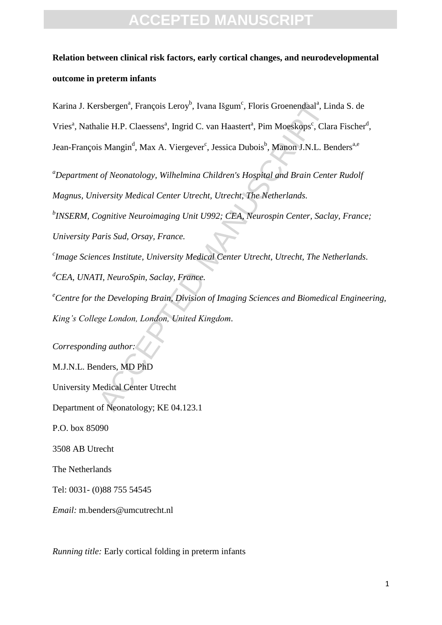### **Relation between clinical risk factors, early cortical changes, and neurodevelopmental outcome in preterm infants**

rsbergen<sup>a</sup>, François Leroy<sup>b</sup>, Ivana Išgum<sup>e</sup>, Floris Groenendaal<sup>a</sup>, Li<br>alie H.P. Claessens<sup>a</sup>, Ingrid C. van Haastert<sup>a</sup>, Pim Moeskops<sup>c</sup>, Cla<br>is Mangin<sup>d</sup>, Max A. Viergever<sup>e</sup>, Iessica Dubois<sup>b</sup>, Manon J.N.L. Be<br>*t of* Karina J. Kersbergen<sup>a</sup>, François Leroy<sup>b</sup>, Ivana Išgum<sup>c</sup>, Floris Groenendaal<sup>a</sup>, Linda S. de Vries<sup>a</sup>, Nathalie H.P. Claessens<sup>a</sup>, Ingrid C. van Haastert<sup>a</sup>, Pim Moeskops<sup>c</sup>, Clara Fischer<sup>d</sup>, Jean-François Mangin<sup>d</sup>, Max A. Viergever<sup>c</sup>, Jessica Dubois<sup>b</sup>, Manon J.N.L. Benders<sup>a,e</sup>

*<sup>a</sup>Department of Neonatology, Wilhelmina Children's Hospital and Brain Center Rudolf Magnus, University Medical Center Utrecht, Utrecht, The Netherlands.*

*b INSERM, Cognitive Neuroimaging Unit U992; CEA, Neurospin Center, Saclay, France;* 

*University Paris Sud, Orsay, France.*

*c Image Sciences Institute, University Medical Center Utrecht, Utrecht, The Netherlands. <sup>d</sup>CEA, UNATI, NeuroSpin, Saclay, France.*

*<sup>e</sup>Centre for the Developing Brain, Division of Imaging Sciences and Biomedical Engineering, King's College London, London, United Kingdom.*

*Corresponding author:* M.J.N.L. Benders, MD PhD University Medical Center Utrecht Department of Neonatology; KE 04.123.1 P.O. box 85090 3508 AB Utrecht The Netherlands Tel: 0031- (0)88 755 54545 *Email:* m.benders@umcutrecht.nl

*Running title:* Early cortical folding in preterm infants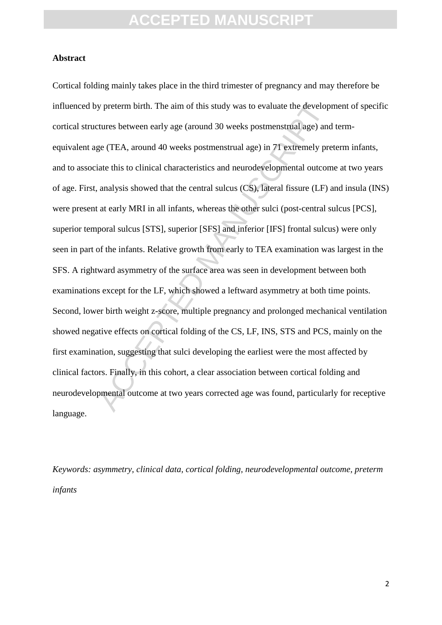#### **Abstract**

y preterm birth. The aim of this study was to evaluate the develop<br>tures between early age (around 30 weeks postmenstrual age) and<br>ge (TEA, around 40 weeks postmenstrual age) in 71 extremely pre<br>iate this to clinical chara Cortical folding mainly takes place in the third trimester of pregnancy and may therefore be influenced by preterm birth. The aim of this study was to evaluate the development of specific cortical structures between early age (around 30 weeks postmenstrual age) and termequivalent age (TEA, around 40 weeks postmenstrual age) in 71 extremely preterm infants, and to associate this to clinical characteristics and neurodevelopmental outcome at two years of age. First, analysis showed that the central sulcus (CS), lateral fissure (LF) and insula (INS) were present at early MRI in all infants, whereas the other sulci (post-central sulcus [PCS], superior temporal sulcus [STS], superior [SFS] and inferior [IFS] frontal sulcus) were only seen in part of the infants. Relative growth from early to TEA examination was largest in the SFS. A rightward asymmetry of the surface area was seen in development between both examinations except for the LF, which showed a leftward asymmetry at both time points. Second, lower birth weight z-score, multiple pregnancy and prolonged mechanical ventilation showed negative effects on cortical folding of the CS, LF, INS, STS and PCS, mainly on the first examination, suggesting that sulci developing the earliest were the most affected by clinical factors. Finally, in this cohort, a clear association between cortical folding and neurodevelopmental outcome at two years corrected age was found, particularly for receptive language.

*Keywords: asymmetry, clinical data, cortical folding, neurodevelopmental outcome, preterm infants*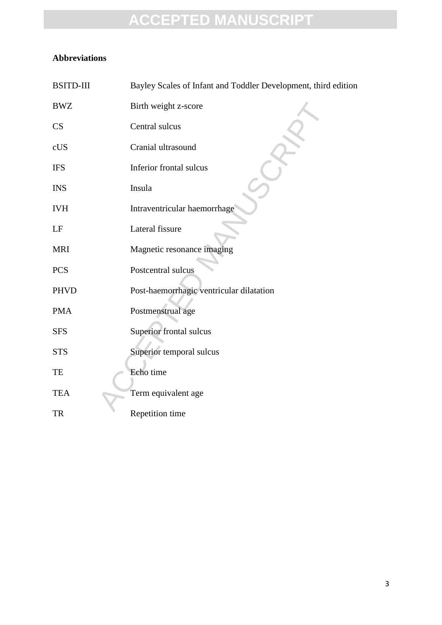#### **Abbreviations**

| <b>BSITD-III</b> | Bayley Scales of Infant and Toddler Development, third edition |  |  |  |
|------------------|----------------------------------------------------------------|--|--|--|
| <b>BWZ</b>       | Birth weight z-score                                           |  |  |  |
| CS               | Central sulcus                                                 |  |  |  |
| cUS              | Cranial ultrasound                                             |  |  |  |
| <b>IFS</b>       | Inferior frontal sulcus                                        |  |  |  |
| <b>INS</b>       | Insula                                                         |  |  |  |
| <b>IVH</b>       | Intraventricular haemorrhage                                   |  |  |  |
| LF               | Lateral fissure                                                |  |  |  |
| <b>MRI</b>       | Magnetic resonance imaging                                     |  |  |  |
| <b>PCS</b>       | Postcentral sulcus                                             |  |  |  |
| <b>PHVD</b>      | Post-haemorrhagic ventricular dilatation                       |  |  |  |
| <b>PMA</b>       | Postmenstrual age                                              |  |  |  |
| <b>SFS</b>       | Superior frontal sulcus                                        |  |  |  |
| <b>STS</b>       | Superior temporal sulcus                                       |  |  |  |
| TE               | Echo time                                                      |  |  |  |
| <b>TEA</b>       | Term equivalent age                                            |  |  |  |
| <b>TR</b>        | Repetition time                                                |  |  |  |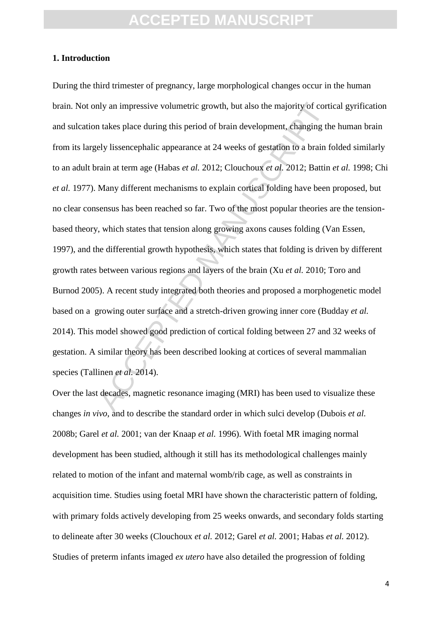#### **1. Introduction**

aly an impressive volumetric growth, but also the majority of cortical<br>takes place during this period of brain development, changing the<br>ely lissencephalic appearance at 24 weeks of gestation to a brain f<br>rain at term age During the third trimester of pregnancy, large morphological changes occur in the human brain. Not only an impressive volumetric growth, but also the majority of cortical gyrification and sulcation takes place during this period of brain development, changing the human brain from its largely lissencephalic appearance at 24 weeks of gestation to a brain folded similarly to an adult brain at term age (Habas *et al.* 2012; Clouchoux *et al.* 2012; Battin *et al.* 1998; Chi *et al.* 1977). Many different mechanisms to explain cortical folding have been proposed, but no clear consensus has been reached so far. Two of the most popular theories are the tensionbased theory, which states that tension along growing axons causes folding (Van Essen, 1997), and the differential growth hypothesis, which states that folding is driven by different growth rates between various regions and layers of the brain (Xu *et al.* 2010; Toro and Burnod 2005). A recent study integrated both theories and proposed a morphogenetic model based on a growing outer surface and a stretch-driven growing inner core (Budday *et al.* 2014). This model showed good prediction of cortical folding between 27 and 32 weeks of gestation. A similar theory has been described looking at cortices of several mammalian species (Tallinen *et al.* 2014).

Over the last decades, magnetic resonance imaging (MRI) has been used to visualize these changes *in vivo*, and to describe the standard order in which sulci develop (Dubois *et al.* 2008b; Garel *et al.* 2001; van der Knaap *et al.* 1996). With foetal MR imaging normal development has been studied, although it still has its methodological challenges mainly related to motion of the infant and maternal womb/rib cage, as well as constraints in acquisition time. Studies using foetal MRI have shown the characteristic pattern of folding, with primary folds actively developing from 25 weeks onwards, and secondary folds starting to delineate after 30 weeks (Clouchoux *et al.* 2012; Garel *et al.* 2001; Habas *et al.* 2012). Studies of preterm infants imaged *ex utero* have also detailed the progression of folding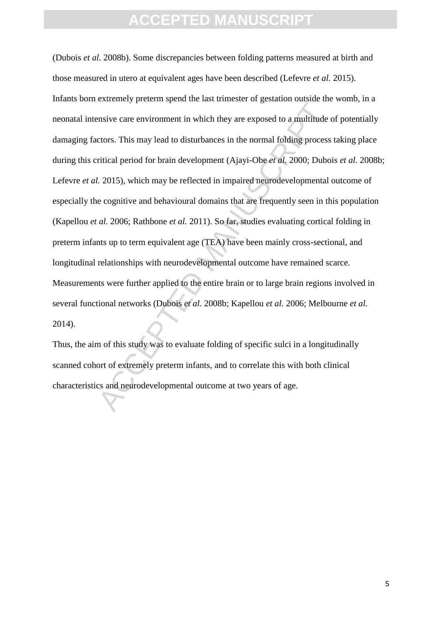Earth of the main minimal of graduate bulk interests and the masket care environment in which they are exposed to a multitude etors. This may lead to disturbances in the normal folding process ritical period for brain dev (Dubois *et al.* 2008b). Some discrepancies between folding patterns measured at birth and those measured in utero at equivalent ages have been described (Lefevre *et al.* 2015). Infants born extremely preterm spend the last trimester of gestation outside the womb, in a neonatal intensive care environment in which they are exposed to a multitude of potentially damaging factors. This may lead to disturbances in the normal folding process taking place during this critical period for brain development (Ajayi-Obe *et al.* 2000; Dubois *et al.* 2008b; Lefevre *et al.* 2015), which may be reflected in impaired neurodevelopmental outcome of especially the cognitive and behavioural domains that are frequently seen in this population (Kapellou *et al.* 2006; Rathbone *et al.* 2011). So far, studies evaluating cortical folding in preterm infants up to term equivalent age (TEA) have been mainly cross-sectional, and longitudinal relationships with neurodevelopmental outcome have remained scarce. Measurements were further applied to the entire brain or to large brain regions involved in several functional networks (Dubois *et al.* 2008b; Kapellou *et al.* 2006; Melbourne *et al.* 2014).

Thus, the aim of this study was to evaluate folding of specific sulci in a longitudinally scanned cohort of extremely preterm infants, and to correlate this with both clinical characteristics and neurodevelopmental outcome at two years of age.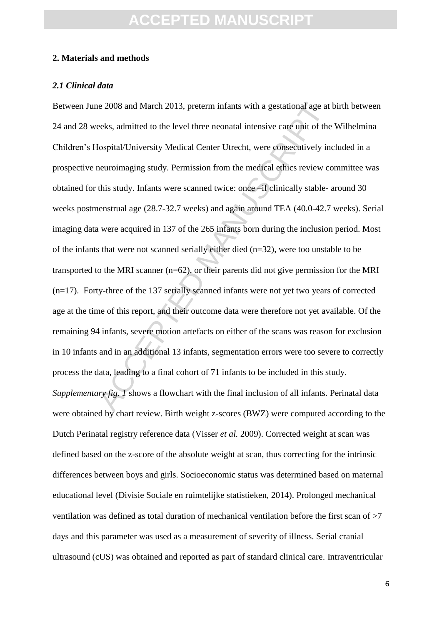#### **2. Materials and methods**

#### *2.1 Clinical data*

ie 2008 and March 2013, preterm infants with a gestational age at eeks, admitted to the level three neonatal intensive care unit of the lospital/University Medical Center Utrecht, were consecutively in neuroimaging study. Between June 2008 and March 2013, preterm infants with a gestational age at birth between 24 and 28 weeks, admitted to the level three neonatal intensive care unit of the Wilhelmina Children's Hospital/University Medical Center Utrecht, were consecutively included in a prospective neuroimaging study. Permission from the medical ethics review committee was obtained for this study. Infants were scanned twice: once –if clinically stable- around 30 weeks postmenstrual age (28.7-32.7 weeks) and again around TEA (40.0-42.7 weeks). Serial imaging data were acquired in 137 of the 265 infants born during the inclusion period. Most of the infants that were not scanned serially either died (n=32), were too unstable to be transported to the MRI scanner (n=62), or their parents did not give permission for the MRI (n=17). Forty-three of the 137 serially scanned infants were not yet two years of corrected age at the time of this report, and their outcome data were therefore not yet available. Of the remaining 94 infants, severe motion artefacts on either of the scans was reason for exclusion in 10 infants and in an additional 13 infants, segmentation errors were too severe to correctly process the data, leading to a final cohort of 71 infants to be included in this study. *Supplementary fig. 1* shows a flowchart with the final inclusion of all infants. Perinatal data were obtained by chart review. Birth weight z-scores (BWZ) were computed according to the Dutch Perinatal registry reference data (Visser *et al.* 2009). Corrected weight at scan was defined based on the z-score of the absolute weight at scan, thus correcting for the intrinsic differences between boys and girls. Socioeconomic status was determined based on maternal educational level (Divisie Sociale en ruimtelijke statistieken, 2014). Prolonged mechanical ventilation was defined as total duration of mechanical ventilation before the first scan of >7 days and this parameter was used as a measurement of severity of illness. Serial cranial ultrasound (cUS) was obtained and reported as part of standard clinical care. Intraventricular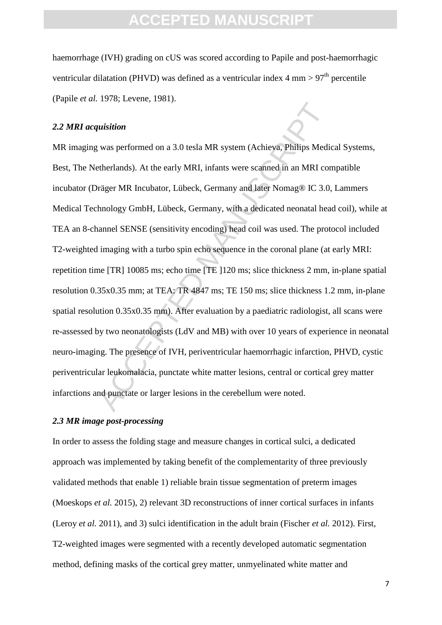haemorrhage (IVH) grading on cUS was scored according to Papile and post-haemorrhagic ventricular dilatation (PHVD) was defined as a ventricular index  $4 \text{ mm} > 97^{\text{th}}$  percentile (Papile *et al.* 1978; Levene, 1981).

#### *2.2 MRI acquisition*

matition<br>
was performed on a 3.0 tesla MR system (Achieya, Philips Medie<br>
therlands). At the early MRI, infants were scanned in an MRI corriger MR Incubator, Lübeck, Germany and later Nomag® IC 3.0,<br>
hnology GmbH, Lübeck, MR imaging was performed on a 3.0 tesla MR system (Achieva, Philips Medical Systems, Best, The Netherlands). At the early MRI, infants were scanned in an MRI compatible incubator (Dräger MR Incubator, Lübeck, Germany and later Nomag® IC 3.0, Lammers Medical Technology GmbH, Lübeck, Germany, with a dedicated neonatal head coil), while at TEA an 8-channel SENSE (sensitivity encoding) head coil was used. The protocol included T2-weighted imaging with a turbo spin echo sequence in the coronal plane (at early MRI: repetition time [TR] 10085 ms; echo time [TE ]120 ms; slice thickness 2 mm, in-plane spatial resolution 0.35x0.35 mm; at TEA: TR 4847 ms; TE 150 ms; slice thickness 1.2 mm, in-plane spatial resolution 0.35x0.35 mm). After evaluation by a paediatric radiologist, all scans were re-assessed by two neonatologists (LdV and MB) with over 10 years of experience in neonatal neuro-imaging. The presence of IVH, periventricular haemorrhagic infarction, PHVD, cystic periventricular leukomalacia, punctate white matter lesions, central or cortical grey matter infarctions and punctate or larger lesions in the cerebellum were noted.

#### *2.3 MR image post-processing*

In order to assess the folding stage and measure changes in cortical sulci, a dedicated approach was implemented by taking benefit of the complementarity of three previously validated methods that enable 1) reliable brain tissue segmentation of preterm images (Moeskops *et al.* 2015), 2) relevant 3D reconstructions of inner cortical surfaces in infants (Leroy *et al.* 2011), and 3) sulci identification in the adult brain (Fischer *et al.* 2012). First, T2-weighted images were segmented with a recently developed automatic segmentation method, defining masks of the cortical grey matter, unmyelinated white matter and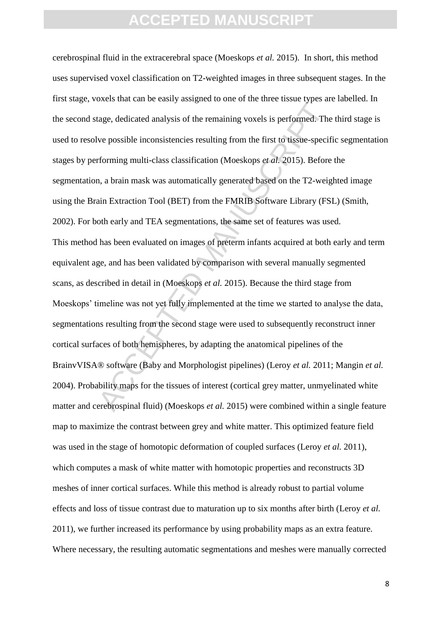and the terms of the terms in the terms of the terms of the terms of the terms of the terms of the possible inconsistencies resulting from the first to tissue-specif<br>forming multi-class classification (Moeskops *et al.* 2 cerebrospinal fluid in the extracerebral space (Moeskops *et al.* 2015). In short, this method uses supervised voxel classification on T2-weighted images in three subsequent stages. In the first stage, voxels that can be easily assigned to one of the three tissue types are labelled. In the second stage, dedicated analysis of the remaining voxels is performed. The third stage is used to resolve possible inconsistencies resulting from the first to tissue-specific segmentation stages by performing multi-class classification (Moeskops *et al.* 2015). Before the segmentation, a brain mask was automatically generated based on the T2-weighted image using the Brain Extraction Tool (BET) from the FMRIB Software Library (FSL) (Smith, 2002). For both early and TEA segmentations, the same set of features was used. This method has been evaluated on images of preterm infants acquired at both early and term equivalent age, and has been validated by comparison with several manually segmented scans, as described in detail in (Moeskops *et al.* 2015). Because the third stage from Moeskops' timeline was not yet fully implemented at the time we started to analyse the data, segmentations resulting from the second stage were used to subsequently reconstruct inner cortical surfaces of both hemispheres, by adapting the anatomical pipelines of the BrainvVISA® software (Baby and Morphologist pipelines) (Leroy *et al.* 2011; Mangin *et al.* 2004). Probability maps for the tissues of interest (cortical grey matter, unmyelinated white matter and cerebrospinal fluid) (Moeskops *et al.* 2015) were combined within a single feature map to maximize the contrast between grey and white matter. This optimized feature field was used in the stage of homotopic deformation of coupled surfaces (Leroy *et al.* 2011), which computes a mask of white matter with homotopic properties and reconstructs 3D meshes of inner cortical surfaces. While this method is already robust to partial volume effects and loss of tissue contrast due to maturation up to six months after birth (Leroy *et al.* 2011), we further increased its performance by using probability maps as an extra feature. Where necessary, the resulting automatic segmentations and meshes were manually corrected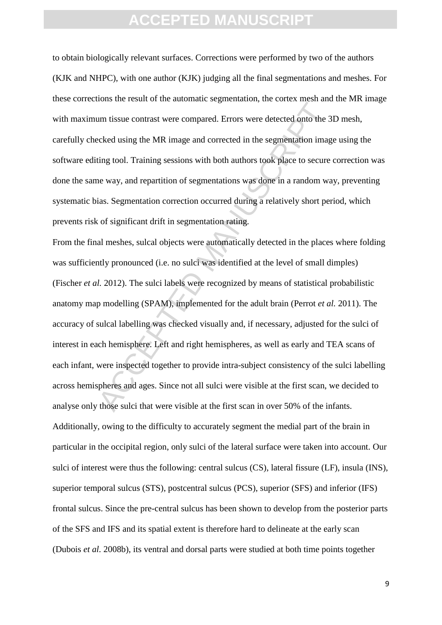to obtain biologically relevant surfaces. Corrections were performed by two of the authors (KJK and NHPC), with one author (KJK) judging all the final segmentations and meshes. For these corrections the result of the automatic segmentation, the cortex mesh and the MR image with maximum tissue contrast were compared. Errors were detected onto the 3D mesh, carefully checked using the MR image and corrected in the segmentation image using the software editing tool. Training sessions with both authors took place to secure correction was done the same way, and repartition of segmentations was done in a random way, preventing systematic bias. Segmentation correction occurred during a relatively short period, which prevents risk of significant drift in segmentation rating.

And the relative the and the magnitude of parameters and the second the second the second the second time<br>second using the MR image and corrected in the segmentation image<br>ting tool. Training sessions with both authors to From the final meshes, sulcal objects were automatically detected in the places where folding was sufficiently pronounced (i.e. no sulci was identified at the level of small dimples) (Fischer *et al.* 2012). The sulci labels were recognized by means of statistical probabilistic anatomy map modelling (SPAM), implemented for the adult brain (Perrot *et al.* 2011). The accuracy of sulcal labelling was checked visually and, if necessary, adjusted for the sulci of interest in each hemisphere. Left and right hemispheres, as well as early and TEA scans of each infant, were inspected together to provide intra-subject consistency of the sulci labelling across hemispheres and ages. Since not all sulci were visible at the first scan, we decided to analyse only those sulci that were visible at the first scan in over 50% of the infants. Additionally, owing to the difficulty to accurately segment the medial part of the brain in particular in the occipital region, only sulci of the lateral surface were taken into account. Our sulci of interest were thus the following: central sulcus (CS), lateral fissure (LF), insula (INS), superior temporal sulcus (STS), postcentral sulcus (PCS), superior (SFS) and inferior (IFS) frontal sulcus. Since the pre-central sulcus has been shown to develop from the posterior parts of the SFS and IFS and its spatial extent is therefore hard to delineate at the early scan (Dubois *et al.* 2008b), its ventral and dorsal parts were studied at both time points together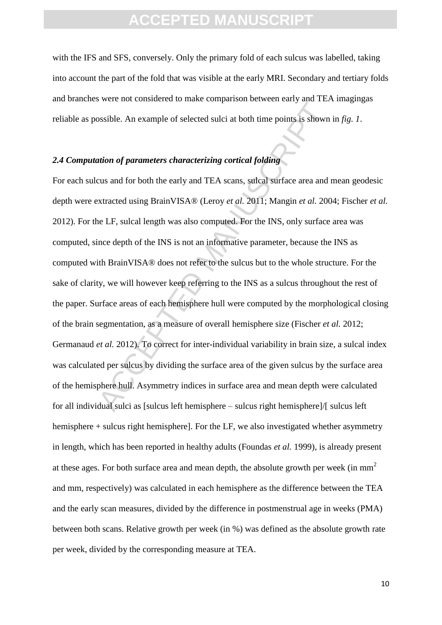with the IFS and SFS, conversely. Only the primary fold of each sulcus was labelled, taking into account the part of the fold that was visible at the early MRI. Secondary and tertiary folds and branches were not considered to make comparison between early and TEA imagingas reliable as possible. An example of selected sulci at both time points is shown in *fig. 1*.

#### *2.4 Computation of parameters characterizing cortical folding*

Account that the same of selected sulci at both time points is shown<br>
ation of parameters characterizing cortical folding<br>
cus and for both the early and TEA scans, sulcal surface area and<br>
extracted using BrainVISA® (Ler For each sulcus and for both the early and TEA scans, sulcal surface area and mean geodesic depth were extracted using BrainVISA® (Leroy *et al.* 2011; Mangin *et al.* 2004; Fischer *et al.* 2012). For the LF, sulcal length was also computed. For the INS, only surface area was computed, since depth of the INS is not an informative parameter, because the INS as computed with BrainVISA® does not refer to the sulcus but to the whole structure. For the sake of clarity, we will however keep referring to the INS as a sulcus throughout the rest of the paper. Surface areas of each hemisphere hull were computed by the morphological closing of the brain segmentation, as a measure of overall hemisphere size (Fischer *et al.* 2012; Germanaud *et al.* 2012). To correct for inter-individual variability in brain size, a sulcal index was calculated per sulcus by dividing the surface area of the given sulcus by the surface area of the hemisphere hull. Asymmetry indices in surface area and mean depth were calculated for all individual sulci as [sulcus left hemisphere – sulcus right hemisphere]/[ sulcus left hemisphere + sulcus right hemisphere]. For the LF, we also investigated whether asymmetry in length, which has been reported in healthy adults (Foundas *et al.* 1999), is already present at these ages. For both surface area and mean depth, the absolute growth per week (in  $mm<sup>2</sup>$ ) and mm, respectively) was calculated in each hemisphere as the difference between the TEA and the early scan measures, divided by the difference in postmenstrual age in weeks (PMA) between both scans. Relative growth per week (in %) was defined as the absolute growth rate per week, divided by the corresponding measure at TEA.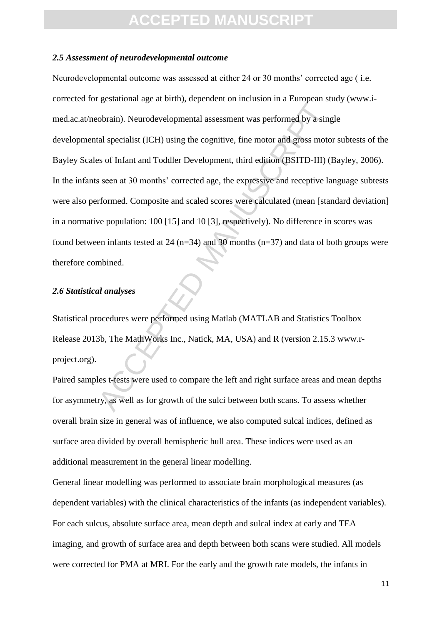#### *2.5 Assessment of neurodevelopmental outcome*

gammann age in anni, algebra in manufacture in a anti-principal<br>obrain). Neurodevelopmental assessment was performed by a sing<br>tal specialist (ICH) using the cognitive, fine motor and gross moto<br>s of Infant and Toddler Dev Neurodevelopmental outcome was assessed at either 24 or 30 months' corrected age ( i.e. corrected for gestational age at birth), dependent on inclusion in a European study (www.imed.ac.at/neobrain). Neurodevelopmental assessment was performed by a single developmental specialist (ICH) using the cognitive, fine motor and gross motor subtests of the Bayley Scales of Infant and Toddler Development, third edition (BSITD-III) (Bayley, 2006). In the infants seen at 30 months' corrected age, the expressive and receptive language subtests were also performed. Composite and scaled scores were calculated (mean [standard deviation] in a normative population: 100 [15] and 10 [3], respectively). No difference in scores was found between infants tested at 24 ( $n=34$ ) and 30 months ( $n=37$ ) and data of both groups were therefore combined.

#### *2.6 Statistical analyses*

Statistical procedures were performed using Matlab (MATLAB and Statistics Toolbox Release 2013b, The MathWorks Inc., Natick, MA, USA) and R (version 2.15.3 www.rproject.org).

Paired samples t-tests were used to compare the left and right surface areas and mean depths for asymmetry, as well as for growth of the sulci between both scans. To assess whether overall brain size in general was of influence, we also computed sulcal indices, defined as surface area divided by overall hemispheric hull area. These indices were used as an additional measurement in the general linear modelling.

General linear modelling was performed to associate brain morphological measures (as dependent variables) with the clinical characteristics of the infants (as independent variables). For each sulcus, absolute surface area, mean depth and sulcal index at early and TEA imaging, and growth of surface area and depth between both scans were studied. All models were corrected for PMA at MRI. For the early and the growth rate models, the infants in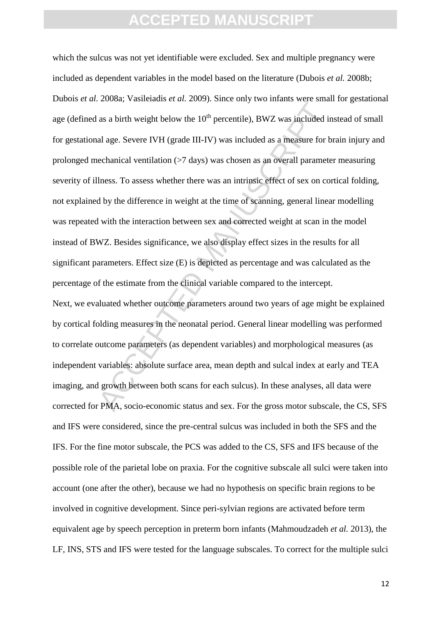Example 12 and 2007) when the state of the state of and as a birth weight below the  $10^{\text{th}}$  percentile), BWZ was included in al age. Severe IVH (grade III-IV) was included as a measure for b echanical ventilation ( $>7$ which the sulcus was not yet identifiable were excluded. Sex and multiple pregnancy were included as dependent variables in the model based on the literature (Dubois *et al.* 2008b; Dubois *et al.* 2008a; Vasileiadis *et al.* 2009). Since only two infants were small for gestational age (defined as a birth weight below the  $10<sup>th</sup>$  percentile), BWZ was included instead of small for gestational age. Severe IVH (grade III-IV) was included as a measure for brain injury and prolonged mechanical ventilation (>7 days) was chosen as an overall parameter measuring severity of illness. To assess whether there was an intrinsic effect of sex on cortical folding, not explained by the difference in weight at the time of scanning, general linear modelling was repeated with the interaction between sex and corrected weight at scan in the model instead of BWZ. Besides significance, we also display effect sizes in the results for all significant parameters. Effect size (E) is depicted as percentage and was calculated as the percentage of the estimate from the clinical variable compared to the intercept. Next, we evaluated whether outcome parameters around two years of age might be explained by cortical folding measures in the neonatal period. General linear modelling was performed to correlate outcome parameters (as dependent variables) and morphological measures (as independent variables: absolute surface area, mean depth and sulcal index at early and TEA imaging, and growth between both scans for each sulcus). In these analyses, all data were corrected for PMA, socio-economic status and sex. For the gross motor subscale, the CS, SFS and IFS were considered, since the pre-central sulcus was included in both the SFS and the IFS. For the fine motor subscale, the PCS was added to the CS, SFS and IFS because of the possible role of the parietal lobe on praxia. For the cognitive subscale all sulci were taken into account (one after the other), because we had no hypothesis on specific brain regions to be involved in cognitive development. Since peri-sylvian regions are activated before term equivalent age by speech perception in preterm born infants (Mahmoudzadeh *et al.* 2013), the LF, INS, STS and IFS were tested for the language subscales. To correct for the multiple sulci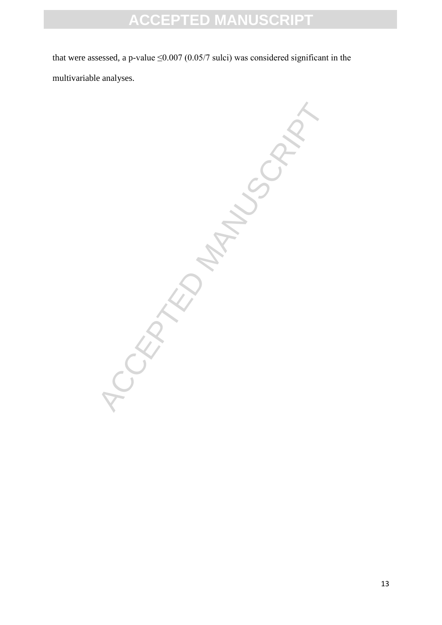that were assessed, a p-value  $\leq 0.007$  (0.05/7 sulci) was considered significant in the multivariable analyses.

-ORATION MANUSCRIPT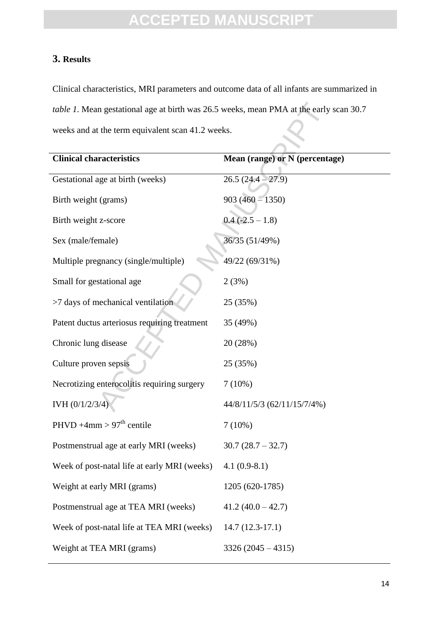#### **3. Results**

Clinical characteristics, MRI parameters and outcome data of all infants are summarized in *table 1*. Mean gestational age at birth was 26.5 weeks, mean PMA at the early scan 30.7 weeks and at the term equivalent scan 41.2 weeks.

| table 1. Mean gestational age at birth was 26.5 weeks, mean PMA at the early scan 30.7 |                                |  |  |  |  |
|----------------------------------------------------------------------------------------|--------------------------------|--|--|--|--|
| weeks and at the term equivalent scan 41.2 weeks.                                      |                                |  |  |  |  |
| <b>Clinical characteristics</b>                                                        | Mean (range) or N (percentage) |  |  |  |  |
| Gestational age at birth (weeks)                                                       | $26.5(24.4 - 27.9)$            |  |  |  |  |
| Birth weight (grams)                                                                   | $903(460 - 1350)$              |  |  |  |  |
| Birth weight z-score                                                                   | $0.4$ (-2.5 – 1.8)             |  |  |  |  |
| Sex (male/female)                                                                      | 36/35 (51/49%)                 |  |  |  |  |
| Multiple pregnancy (single/multiple)                                                   | 49/22 (69/31%)                 |  |  |  |  |
| Small for gestational age                                                              | 2(3%)                          |  |  |  |  |
| >7 days of mechanical ventilation                                                      | 25 (35%)                       |  |  |  |  |
| Patent ductus arteriosus requiring treatment                                           | 35 (49%)                       |  |  |  |  |
| Chronic lung disease                                                                   | 20 (28%)                       |  |  |  |  |
| Culture proven sepsis                                                                  | 25 (35%)                       |  |  |  |  |
| Necrotizing enterocolitis requiring surgery                                            | $7(10\%)$                      |  |  |  |  |
| IVH (0/1/2/3/4                                                                         | 44/8/11/5/3 (62/11/15/7/4%)    |  |  |  |  |
| PHVD $+4$ mm > 97 <sup>th</sup> centile                                                | $7(10\%)$                      |  |  |  |  |
| Postmenstrual age at early MRI (weeks)                                                 | $30.7(28.7 - 32.7)$            |  |  |  |  |
| Week of post-natal life at early MRI (weeks)                                           | $4.1(0.9-8.1)$                 |  |  |  |  |
| Weight at early MRI (grams)                                                            | 1205 (620-1785)                |  |  |  |  |
| Postmenstrual age at TEA MRI (weeks)                                                   | $41.2(40.0 - 42.7)$            |  |  |  |  |
| Week of post-natal life at TEA MRI (weeks)                                             | $14.7(12.3-17.1)$              |  |  |  |  |
| Weight at TEA MRI (grams)                                                              | $3326 (2045 - 4315)$           |  |  |  |  |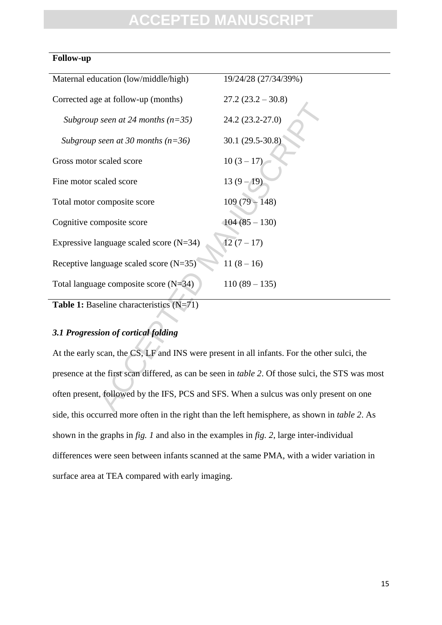#### **Follow-up**

| Maternal education (low/middle/high)                                                                     | 19/24/28 (27/34/39%) |  |  |  |  |
|----------------------------------------------------------------------------------------------------------|----------------------|--|--|--|--|
| Corrected age at follow-up (months)                                                                      | $27.2(23.2 - 30.8)$  |  |  |  |  |
| Subgroup seen at 24 months $(n=35)$                                                                      | 24.2 (23.2-27.0)     |  |  |  |  |
| Subgroup seen at 30 months ( $n=36$ )                                                                    | 30.1 (29.5-30.8)     |  |  |  |  |
| Gross motor scaled score                                                                                 | $10(3-17)$           |  |  |  |  |
| Fine motor scaled score                                                                                  | $13(9-19)$           |  |  |  |  |
| Total motor composite score                                                                              | $109(79-148)$        |  |  |  |  |
| Cognitive composite score                                                                                | $104(85-130)$        |  |  |  |  |
| Expressive language scaled score $(N=34)$                                                                | $12(7 - 17)$         |  |  |  |  |
| Receptive language scaled score $(N=35)$                                                                 | $11(8-16)$           |  |  |  |  |
| Total language composite score $(N=34)$                                                                  | $110(89 - 135)$      |  |  |  |  |
| Table 1: Baseline characteristics (N=71)                                                                 |                      |  |  |  |  |
|                                                                                                          |                      |  |  |  |  |
| 3.1 Progression of cortical folding                                                                      |                      |  |  |  |  |
| At the early scan, the CS, LF and INS were present in all infants. For the other sulci, the              |                      |  |  |  |  |
| presence at the first scan differed, as can be seen in <i>table 2</i> . Of those sulci, the STS was most |                      |  |  |  |  |
| often present, followed by the IFS, PCS and SFS. When a sulcus was only present on one                   |                      |  |  |  |  |
|                                                                                                          |                      |  |  |  |  |

#### *3.1 Progression of cortical folding*

At the early scan, the CS, LF and INS were present in all infants. For the other sulci, the presence at the first scan differed, as can be seen in *table 2*. Of those sulci, the STS was most often present, followed by the IFS, PCS and SFS. When a sulcus was only present on one side, this occurred more often in the right than the left hemisphere, as shown in *table 2*. As shown in the graphs in *fig. 1* and also in the examples in *fig. 2*, large inter-individual differences were seen between infants scanned at the same PMA, with a wider variation in surface area at TEA compared with early imaging.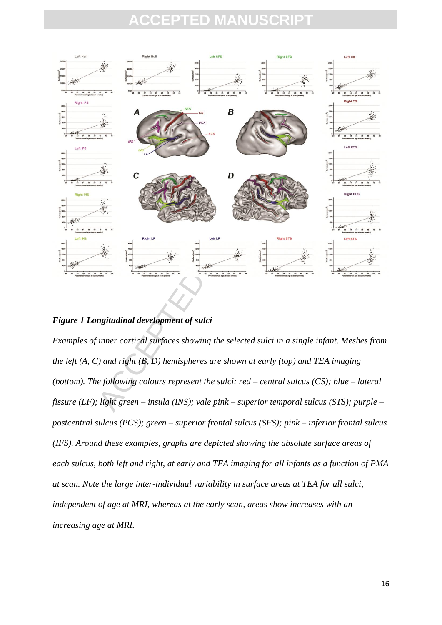## FPTED M



#### *Figure 1 Longitudinal development of sulci*

*Examples of inner cortical surfaces showing the selected sulci in a single infant. Meshes from the left (A, C) and right (B, D) hemispheres are shown at early (top) and TEA imaging (bottom). The following colours represent the sulci: red – central sulcus (CS); blue – lateral fissure (LF); light green – insula (INS); vale pink – superior temporal sulcus (STS); purple – postcentral sulcus (PCS); green – superior frontal sulcus (SFS); pink – inferior frontal sulcus (IFS). Around these examples, graphs are depicted showing the absolute surface areas of each sulcus, both left and right, at early and TEA imaging for all infants as a function of PMA at scan. Note the large inter-individual variability in surface areas at TEA for all sulci, independent of age at MRI, whereas at the early scan, areas show increases with an increasing age at MRI.*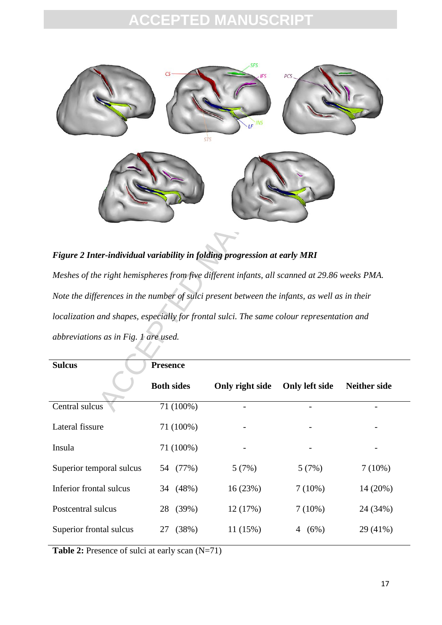

# *Figure 2 Inter-individual variability in folding progression at early MRI Meshes of the right hemispheres from five different infants, all scanned at 29.86 weeks PMA. Note the differences in the number of sulci present between the infants, as well as in their localization and shapes, especially for frontal sulci. The same colour representation and abbreviations as in Fig. 1 are used.*

| <b>Sulcus</b>            | <b>Presence</b>   |                          |                       |                     |  |
|--------------------------|-------------------|--------------------------|-----------------------|---------------------|--|
|                          | <b>Both sides</b> | Only right side          | <b>Only left side</b> | <b>Neither side</b> |  |
| Central sulcus           | 71 (100%)         |                          |                       |                     |  |
| Lateral fissure          | 71 (100%)         | $\overline{\phantom{a}}$ |                       |                     |  |
| Insula                   | 71 (100%)         |                          |                       |                     |  |
| Superior temporal sulcus | 54 (77%)          | 5(7%)                    | 5(7%)                 | $7(10\%)$           |  |
| Inferior frontal sulcus  | 34 (48%)          | 16(23%)                  | $7(10\%)$             | 14 (20%)            |  |
| Postcentral sulcus       | 28 (39%)          | 12(17%)                  | $7(10\%)$             | 24 (34%)            |  |
| Superior frontal sulcus  | (38%)<br>27       | 11(15%)                  | (6%)<br>4             | 29 (41%)            |  |
|                          |                   |                          |                       |                     |  |

**Table 2:** Presence of sulci at early scan  $(N=71)$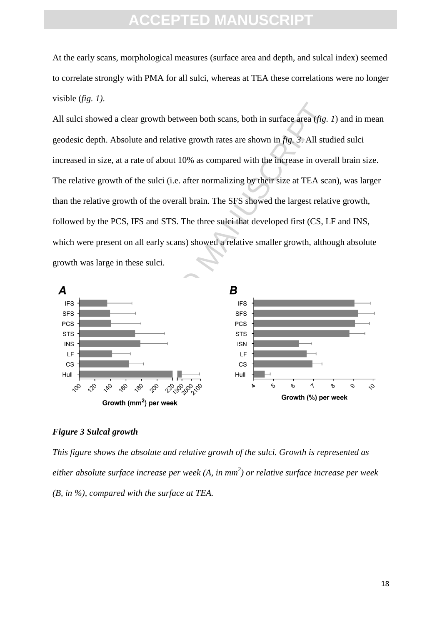At the early scans, morphological measures (surface area and depth, and sulcal index) seemed to correlate strongly with PMA for all sulci, whereas at TEA these correlations were no longer visible (*fig. 1)*.

Access the determined a clear growth between both scans, both in surface area (*fig.* 3). All studies the studies are shown in *fig.* 3). All studies the studies are shown in *fig.* 3). All studies the studies the studies All sulci showed a clear growth between both scans, both in surface area (*fig. 1*) and in mean geodesic depth. Absolute and relative growth rates are shown in *fig. 3*. All studied sulci increased in size, at a rate of about 10% as compared with the increase in overall brain size. The relative growth of the sulci (i.e. after normalizing by their size at TEA scan), was larger than the relative growth of the overall brain. The SFS showed the largest relative growth, followed by the PCS, IFS and STS. The three sulci that developed first (CS, LF and INS, which were present on all early scans) showed a relative smaller growth, although absolute growth was large in these sulci.



#### *Figure 3 Sulcal growth*

*This figure shows the absolute and relative growth of the sulci. Growth is represented as either absolute surface increase per week (A, in mm<sup>2</sup> ) or relative surface increase per week (B, in %), compared with the surface at TEA.*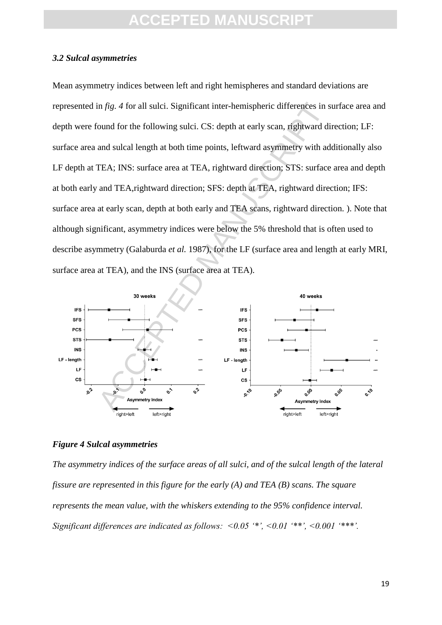#### *3.2 Sulcal asymmetries*

In fig. 4 for all sulci. Significant inter-hemispheric differences in s<br>
bound for the following sulci. CS: depth at early scan, rightward di<br>
and sulcal length at both time points, leftward asymmetry with ad<br>
TEA; INS: s Mean asymmetry indices between left and right hemispheres and standard deviations are represented in *fig. 4* for all sulci. Significant inter-hemispheric differences in surface area and depth were found for the following sulci. CS: depth at early scan, rightward direction; LF: surface area and sulcal length at both time points, leftward asymmetry with additionally also LF depth at TEA; INS: surface area at TEA, rightward direction; STS: surface area and depth at both early and TEA,rightward direction; SFS: depth at TEA, rightward direction; IFS: surface area at early scan, depth at both early and TEA scans, rightward direction. ). Note that although significant, asymmetry indices were below the 5% threshold that is often used to describe asymmetry (Galaburda *et al.* 1987), for the LF (surface area and length at early MRI, surface area at TEA), and the INS (surface area at TEA).



#### *Figure 4 Sulcal asymmetries*

*The asymmetry indices of the surface areas of all sulci, and of the sulcal length of the lateral fissure are represented in this figure for the early (A) and TEA (B) scans. The square represents the mean value, with the whiskers extending to the 95% confidence interval. Significant differences are indicated as follows: <0.05 '\*', <0.01 '\*\*', <0.001 '\*\*\*'.*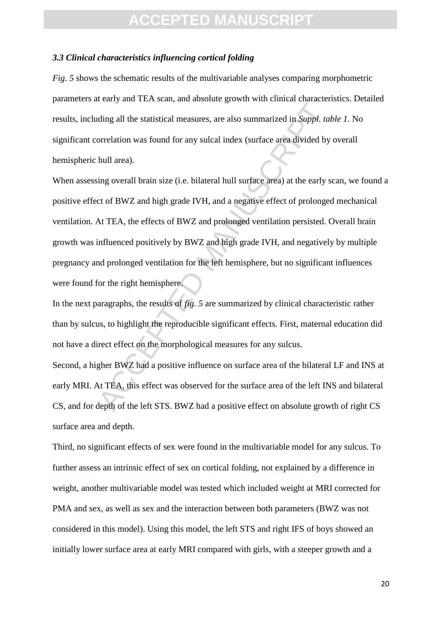#### *3.3 Clinical characteristics influencing cortical folding*

*Fig. 5* shows the schematic results of the multivariable analyses comparing morphometric parameters at early and TEA scan, and absolute growth with clinical characteristics. Detailed results, including all the statistical measures, are also summarized in *Suppl. table 1*. No significant correlation was found for any sulcal index (surface area divided by overall hemispheric hull area).

Figure 2.1 To allow the statistical measures, are also summarized in *Suppl. tal*<br>orrelation was found for any sulcal index (surface area divided by<br>hull area).<br>ing overall brain size (i.e. bilateral hull surface area) at When assessing overall brain size (i.e. bilateral hull surface area) at the early scan, we found a positive effect of BWZ and high grade IVH, and a negative effect of prolonged mechanical ventilation. At TEA, the effects of BWZ and prolonged ventilation persisted. Overall brain growth was influenced positively by BWZ and high grade IVH, and negatively by multiple pregnancy and prolonged ventilation for the left hemisphere, but no significant influences were found for the right hemisphere.

In the next paragraphs, the results of *fig. 5* are summarized by clinical characteristic rather than by sulcus, to highlight the reproducible significant effects. First, maternal education did not have a direct effect on the morphological measures for any sulcus.

Second, a higher BWZ had a positive influence on surface area of the bilateral LF and INS at early MRI. At TEA, this effect was observed for the surface area of the left INS and bilateral CS, and for depth of the left STS. BWZ had a positive effect on absolute growth of right CS surface area and depth.

Third, no significant effects of sex were found in the multivariable model for any sulcus. To further assess an intrinsic effect of sex on cortical folding, not explained by a difference in weight, another multivariable model was tested which included weight at MRI corrected for PMA and sex, as well as sex and the interaction between both parameters (BWZ was not considered in this model). Using this model, the left STS and right IFS of boys showed an initially lower surface area at early MRI compared with girls, with a steeper growth and a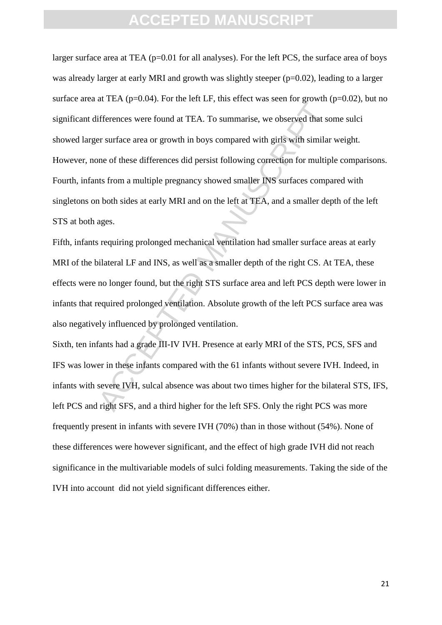The case of the case of the case of the case of the case of the case of the case of the case of strength in the case of the set of the set of these differences did persist following correction for multiplus from a multiple larger surface area at TEA (p=0.01 for all analyses). For the left PCS, the surface area of boys was already larger at early MRI and growth was slightly steeper (p=0.02), leading to a larger surface area at TEA ( $p=0.04$ ). For the left LF, this effect was seen for growth ( $p=0.02$ ), but no significant differences were found at TEA. To summarise, we observed that some sulci showed larger surface area or growth in boys compared with girls with similar weight. However, none of these differences did persist following correction for multiple comparisons. Fourth, infants from a multiple pregnancy showed smaller INS surfaces compared with singletons on both sides at early MRI and on the left at TEA, and a smaller depth of the left STS at both ages.

Fifth, infants requiring prolonged mechanical ventilation had smaller surface areas at early MRI of the bilateral LF and INS, as well as a smaller depth of the right CS. At TEA, these effects were no longer found, but the right STS surface area and left PCS depth were lower in infants that required prolonged ventilation. Absolute growth of the left PCS surface area was also negatively influenced by prolonged ventilation.

Sixth, ten infants had a grade III-IV IVH. Presence at early MRI of the STS, PCS, SFS and IFS was lower in these infants compared with the 61 infants without severe IVH. Indeed, in infants with severe IVH, sulcal absence was about two times higher for the bilateral STS, IFS, left PCS and right SFS, and a third higher for the left SFS. Only the right PCS was more frequently present in infants with severe IVH (70%) than in those without (54%). None of these differences were however significant, and the effect of high grade IVH did not reach significance in the multivariable models of sulci folding measurements. Taking the side of the IVH into account did not yield significant differences either.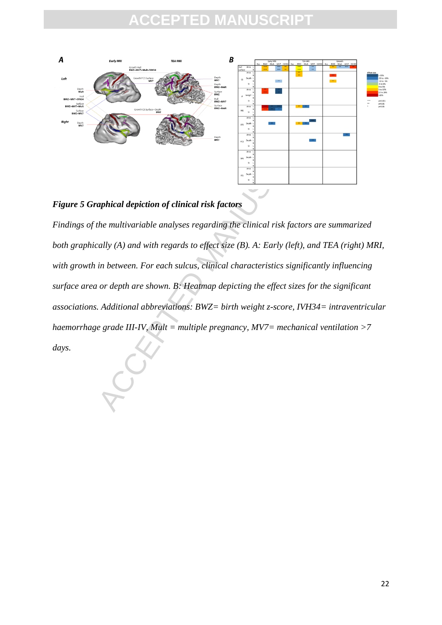## **EPTED MANU**





aphical depiction of clinical risk factors<br>
where multivariable analyses regarding the clinical risk factors are s<br>
andly (A) and with regards to effect size (B). A: Early (left), and The<br>
in between. For each sulcus, cli *Findings of the multivariable analyses regarding the clinical risk factors are summarized both graphically (A) and with regards to effect size (B). A: Early (left), and TEA (right) MRI, with growth in between. For each sulcus, clinical characteristics significantly influencing surface area or depth are shown. B: Heatmap depicting the effect sizes for the significant associations. Additional abbreviations: BWZ= birth weight z-score, IVH34= intraventricular haemorrhage grade III-IV, Mult = multiple pregnancy, MV7= mechanical ventilation >7* 

*days.*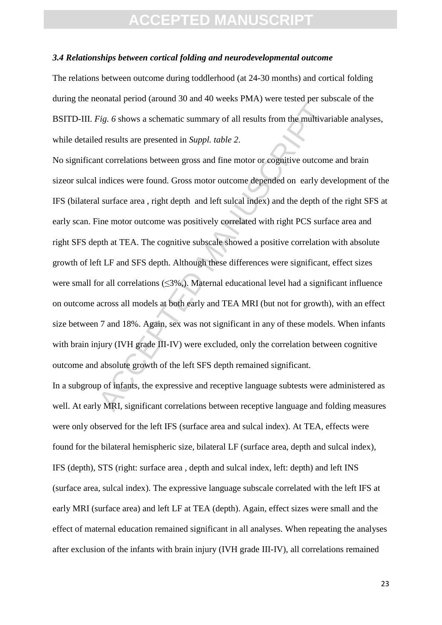#### *3.4 Relationships between cortical folding and neurodevelopmental outcome*

The relations between outcome during toddlerhood (at 24-30 months) and cortical folding during the neonatal period (around 30 and 40 weeks PMA) were tested per subscale of the BSITD-III. *Fig. 6* shows a schematic summary of all results from the multivariable analyses, while detailed results are presented in *Suppl. table 2*.

Example a case of the state of the state of the state of the multivary of sig. 6 shows a schematic summary of all results from the multivar<br>ad results are presented in *Suppl. table 2.*<br>the correlations between gross and No significant correlations between gross and fine motor or cognitive outcome and brain sizeor sulcal indices were found. Gross motor outcome depended on early development of the IFS (bilateral surface area , right depth and left sulcal index) and the depth of the right SFS at early scan. Fine motor outcome was positively correlated with right PCS surface area and right SFS depth at TEA. The cognitive subscale showed a positive correlation with absolute growth of left LF and SFS depth. Although these differences were significant, effect sizes were small for all correlations (≤3%,). Maternal educational level had a significant influence on outcome across all models at both early and TEA MRI (but not for growth), with an effect size between 7 and 18%. Again, sex was not significant in any of these models. When infants with brain injury (IVH grade III-IV) were excluded, only the correlation between cognitive outcome and absolute growth of the left SFS depth remained significant.

In a subgroup of infants, the expressive and receptive language subtests were administered as well. At early MRI, significant correlations between receptive language and folding measures were only observed for the left IFS (surface area and sulcal index). At TEA, effects were found for the bilateral hemispheric size, bilateral LF (surface area, depth and sulcal index), IFS (depth), STS (right: surface area , depth and sulcal index, left: depth) and left INS (surface area, sulcal index). The expressive language subscale correlated with the left IFS at early MRI (surface area) and left LF at TEA (depth). Again, effect sizes were small and the effect of maternal education remained significant in all analyses. When repeating the analyses after exclusion of the infants with brain injury (IVH grade III-IV), all correlations remained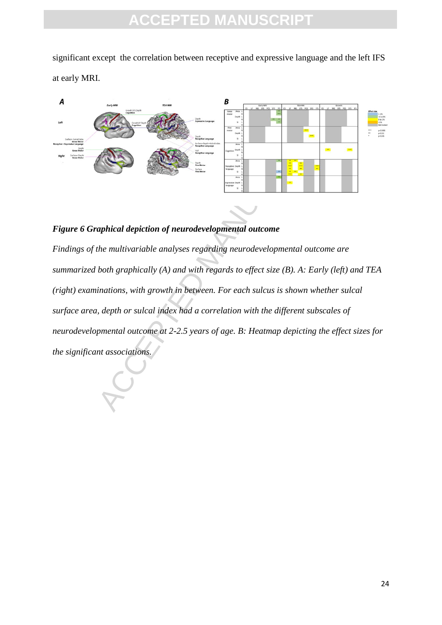significant except the correlation between receptive and expressive language and the left IFS at early MRI.



#### *Figure 6 Graphical depiction of neurodevelopmental outcome*

ACCEPTED MANUSCRIPT OF THE CONTRACT OF THE CONTRACT OF THE CONTRACT OF THE CONTRACT OF THE CONTRACT OF THE CONTRACT OF THE CONTRACT OF THE CONTRACT OF THE CONTRACT OF THE CONTRACT OF THE CONTRACT OF THE CONTRACT OF THE CON *Findings of the multivariable analyses regarding neurodevelopmental outcome are summarized both graphically (A) and with regards to effect size (B). A: Early (left) and TEA (right) examinations, with growth in between. For each sulcus is shown whether sulcal surface area, depth or sulcal index had a correlation with the different subscales of neurodevelopmental outcome at 2-2.5 years of age. B: Heatmap depicting the effect sizes for the significant associations.*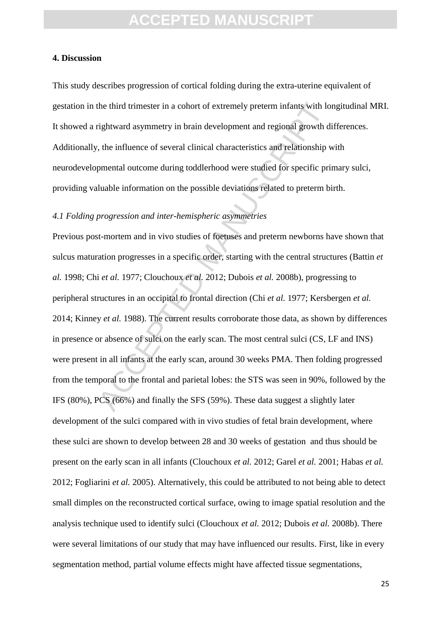#### **4. Discussion**

This study describes progression of cortical folding during the extra-uterine equivalent of gestation in the third trimester in a cohort of extremely preterm infants with longitudinal MRI. It showed a rightward asymmetry in brain development and regional growth differences. Additionally, the influence of several clinical characteristics and relationship with neurodevelopmental outcome during toddlerhood were studied for specific primary sulci, providing valuable information on the possible deviations related to preterm birth.

#### *4.1 Folding progression and inter-hemispheric asymmetries*

the third trimester in a cohort of extremely preterm infants with lo<br>rightward asymmetry in brain development and regional growth d<br>rightward asymmetry in brain development and regional growth d<br>t, the influence of severa Previous post-mortem and in vivo studies of foetuses and preterm newborns have shown that sulcus maturation progresses in a specific order, starting with the central structures (Battin *et al.* 1998; Chi *et al.* 1977; Clouchoux *et al.* 2012; Dubois *et al.* 2008b), progressing to peripheral structures in an occipital to frontal direction (Chi *et al.* 1977; Kersbergen *et al.* 2014; Kinney *et al.* 1988). The current results corroborate those data, as shown by differences in presence or absence of sulci on the early scan. The most central sulci (CS, LF and INS) were present in all infants at the early scan, around 30 weeks PMA. Then folding progressed from the temporal to the frontal and parietal lobes: the STS was seen in 90%, followed by the IFS (80%), PCS (66%) and finally the SFS (59%). These data suggest a slightly later development of the sulci compared with in vivo studies of fetal brain development, where these sulci are shown to develop between 28 and 30 weeks of gestation and thus should be present on the early scan in all infants (Clouchoux *et al.* 2012; Garel *et al.* 2001; Habas *et al.* 2012; Fogliarini *et al.* 2005). Alternatively, this could be attributed to not being able to detect small dimples on the reconstructed cortical surface, owing to image spatial resolution and the analysis technique used to identify sulci (Clouchoux *et al.* 2012; Dubois *et al.* 2008b). There were several limitations of our study that may have influenced our results. First, like in every segmentation method, partial volume effects might have affected tissue segmentations,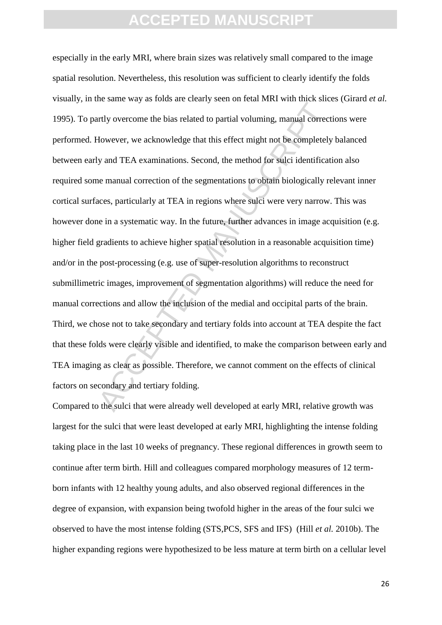The same may as stated at entiry set to the state introduced at external terms of the stated to partial voluming, manual correct However, we acknowledge that this effect might not be completely y and TEA examinations. Seco especially in the early MRI, where brain sizes was relatively small compared to the image spatial resolution. Nevertheless, this resolution was sufficient to clearly identify the folds visually, in the same way as folds are clearly seen on fetal MRI with thick slices (Girard *et al.* 1995). To partly overcome the bias related to partial voluming, manual corrections were performed. However, we acknowledge that this effect might not be completely balanced between early and TEA examinations. Second, the method for sulci identification also required some manual correction of the segmentations to obtain biologically relevant inner cortical surfaces, particularly at TEA in regions where sulci were very narrow. This was however done in a systematic way. In the future, further advances in image acquisition (e.g. higher field gradients to achieve higher spatial resolution in a reasonable acquisition time) and/or in the post-processing (e.g. use of super-resolution algorithms to reconstruct submillimetric images, improvement of segmentation algorithms) will reduce the need for manual corrections and allow the inclusion of the medial and occipital parts of the brain. Third, we chose not to take secondary and tertiary folds into account at TEA despite the fact that these folds were clearly visible and identified, to make the comparison between early and TEA imaging as clear as possible. Therefore, we cannot comment on the effects of clinical factors on secondary and tertiary folding.

Compared to the sulci that were already well developed at early MRI, relative growth was largest for the sulci that were least developed at early MRI, highlighting the intense folding taking place in the last 10 weeks of pregnancy. These regional differences in growth seem to continue after term birth. Hill and colleagues compared morphology measures of 12 termborn infants with 12 healthy young adults, and also observed regional differences in the degree of expansion, with expansion being twofold higher in the areas of the four sulci we observed to have the most intense folding (STS,PCS, SFS and IFS) (Hill *et al.* 2010b). The higher expanding regions were hypothesized to be less mature at term birth on a cellular level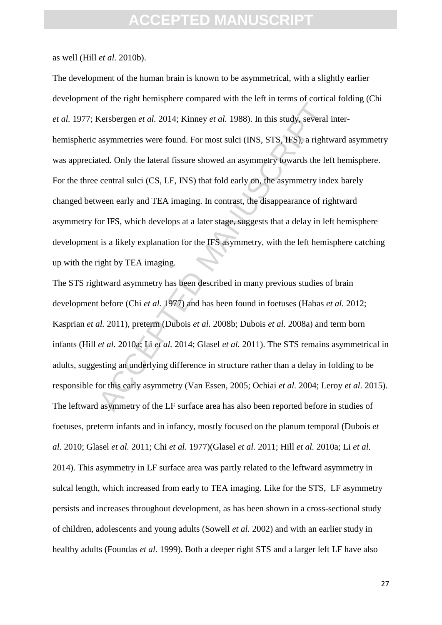as well (Hill *et al.* 2010b).

Example 2011 and 100 and 100 and 100 and 100 and 100 and 100 and 100 and 100 and 100 and 100 and 100 and 100 and 100 and 100 and 100 and 100 and 100 and 100 and 100 and 100 and 100 and 100 and 100 and 100 and 100 and 100 The development of the human brain is known to be asymmetrical, with a slightly earlier development of the right hemisphere compared with the left in terms of cortical folding (Chi *et al.* 1977; Kersbergen *et al.* 2014; Kinney *et al.* 1988). In this study, several interhemispheric asymmetries were found. For most sulci (INS, STS, IFS), a rightward asymmetry was appreciated. Only the lateral fissure showed an asymmetry towards the left hemisphere. For the three central sulci (CS, LF, INS) that fold early on, the asymmetry index barely changed between early and TEA imaging. In contrast, the disappearance of rightward asymmetry for IFS, which develops at a later stage, suggests that a delay in left hemisphere development is a likely explanation for the IFS asymmetry, with the left hemisphere catching up with the right by TEA imaging.

The STS rightward asymmetry has been described in many previous studies of brain development before (Chi *et al.* 1977) and has been found in foetuses (Habas *et al.* 2012; Kasprian *et al.* 2011), preterm (Dubois *et al.* 2008b; Dubois *et al.* 2008a) and term born infants (Hill *et al.* 2010a; Li *et al.* 2014; Glasel *et al.* 2011). The STS remains asymmetrical in adults, suggesting an underlying difference in structure rather than a delay in folding to be responsible for this early asymmetry (Van Essen, 2005; Ochiai *et al.* 2004; Leroy *et al.* 2015). The leftward asymmetry of the LF surface area has also been reported before in studies of foetuses, preterm infants and in infancy, mostly focused on the planum temporal (Dubois *et al.* 2010; Glasel *et al.* 2011; Chi *et al.* 1977)(Glasel *et al.* 2011; Hill *et al.* 2010a; Li *et al.* 2014). This asymmetry in LF surface area was partly related to the leftward asymmetry in sulcal length, which increased from early to TEA imaging. Like for the STS, LF asymmetry persists and increases throughout development, as has been shown in a cross-sectional study of children, adolescents and young adults (Sowell *et al.* 2002) and with an earlier study in healthy adults (Foundas *et al.* 1999). Both a deeper right STS and a larger left LF have also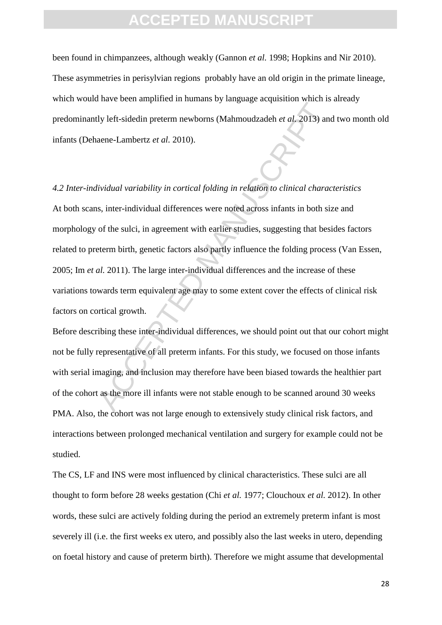been found in chimpanzees, although weakly (Gannon *et al.* 1998; Hopkins and Nir 2010). These asymmetries in perisylvian regions probably have an old origin in the primate lineage, which would have been amplified in humans by language acquisition which is already predominantly left-sidedin preterm newborns (Mahmoudzadeh *et al.* 2013) and two month old infants (Dehaene-Lambertz *et al.* 2010).

And a state of the manufacture of manufacture of manufacture of the state of the same -Lambertz *et al.* 2010).<br>
Altional and a state of the such a state of the such a state of the such a state of the such in agreement wi *4.2 Inter-individual variability in cortical folding in relation to clinical characteristics* At both scans, inter-individual differences were noted across infants in both size and morphology of the sulci, in agreement with earlier studies, suggesting that besides factors related to preterm birth, genetic factors also partly influence the folding process (Van Essen, 2005; Im *et al.* 2011). The large inter-individual differences and the increase of these variations towards term equivalent age may to some extent cover the effects of clinical risk factors on cortical growth.

Before describing these inter-individual differences, we should point out that our cohort might not be fully representative of all preterm infants. For this study, we focused on those infants with serial imaging, and inclusion may therefore have been biased towards the healthier part of the cohort as the more ill infants were not stable enough to be scanned around 30 weeks PMA. Also, the cohort was not large enough to extensively study clinical risk factors, and interactions between prolonged mechanical ventilation and surgery for example could not be studied.

The CS, LF and INS were most influenced by clinical characteristics. These sulci are all thought to form before 28 weeks gestation (Chi *et al.* 1977; Clouchoux *et al.* 2012). In other words, these sulci are actively folding during the period an extremely preterm infant is most severely ill (i.e. the first weeks ex utero, and possibly also the last weeks in utero, depending on foetal history and cause of preterm birth). Therefore we might assume that developmental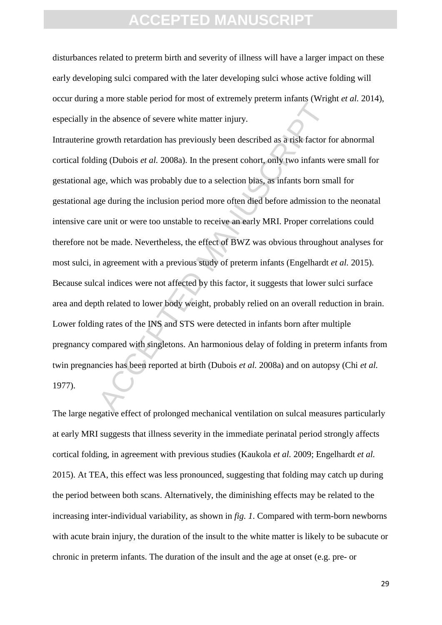### **CCEPTED MANUS**

disturbances related to preterm birth and severity of illness will have a larger impact on these early developing sulci compared with the later developing sulci whose active folding will occur during a more stable period for most of extremely preterm infants (Wright *et al.* 2014), especially in the absence of severe white matter injury.

A matrix and the procedure in the matrix and matrix and matrix (single the absence of severe white matter injury.<br>
growth retardation has previously been described as a risk factor f<br>
ing (Dubois *et al.* 2008a). In the p Intrauterine growth retardation has previously been described as a risk factor for abnormal cortical folding (Dubois *et al.* 2008a). In the present cohort, only two infants were small for gestational age, which was probably due to a selection bias, as infants born small for gestational age during the inclusion period more often died before admission to the neonatal intensive care unit or were too unstable to receive an early MRI. Proper correlations could therefore not be made. Nevertheless, the effect of BWZ was obvious throughout analyses for most sulci, in agreement with a previous study of preterm infants (Engelhardt *et al.* 2015). Because sulcal indices were not affected by this factor, it suggests that lower sulci surface area and depth related to lower body weight, probably relied on an overall reduction in brain. Lower folding rates of the INS and STS were detected in infants born after multiple pregnancy compared with singletons. An harmonious delay of folding in preterm infants from twin pregnancies has been reported at birth (Dubois *et al.* 2008a) and on autopsy (Chi *et al.* 1977).

The large negative effect of prolonged mechanical ventilation on sulcal measures particularly at early MRI suggests that illness severity in the immediate perinatal period strongly affects cortical folding, in agreement with previous studies (Kaukola *et al.* 2009; Engelhardt *et al.* 2015). At TEA, this effect was less pronounced, suggesting that folding may catch up during the period between both scans. Alternatively, the diminishing effects may be related to the increasing inter-individual variability, as shown in *fig. 1*. Compared with term-born newborns with acute brain injury, the duration of the insult to the white matter is likely to be subacute or chronic in preterm infants. The duration of the insult and the age at onset (e.g. pre- or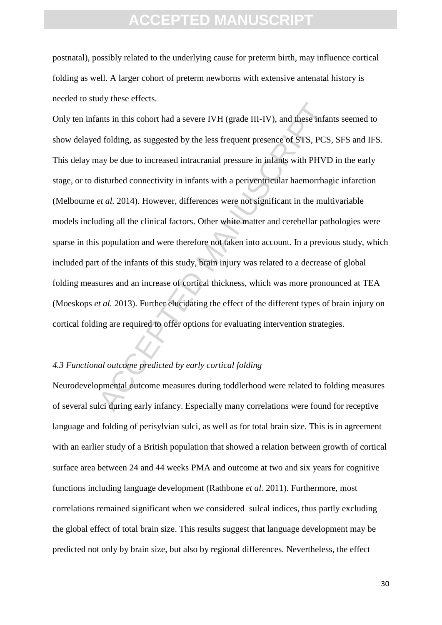postnatal), possibly related to the underlying cause for preterm birth, may influence cortical folding as well. A larger cohort of preterm newborns with extensive antenatal history is needed to study these effects.

Examples in this cohort had a severe IVH (grade III-IV), and these infarmed d folding, as suggested by the less frequent presence of STS, PCS and folding, as suggested by the less frequent presence of STS, PCS and the to Only ten infants in this cohort had a severe IVH (grade III-IV), and these infants seemed to show delayed folding, as suggested by the less frequent presence of STS, PCS, SFS and IFS. This delay may be due to increased intracranial pressure in infants with PHVD in the early stage, or to disturbed connectivity in infants with a periventricular haemorrhagic infarction (Melbourne *et al.* 2014). However, differences were not significant in the multivariable models including all the clinical factors. Other white matter and cerebellar pathologies were sparse in this population and were therefore not taken into account. In a previous study, which included part of the infants of this study, brain injury was related to a decrease of global folding measures and an increase of cortical thickness, which was more pronounced at TEA (Moeskops *et al.* 2013). Further elucidating the effect of the different types of brain injury on cortical folding are required to offer options for evaluating intervention strategies.

#### *4.3 Functional outcome predicted by early cortical folding*

Neurodevelopmental outcome measures during toddlerhood were related to folding measures of several sulci during early infancy. Especially many correlations were found for receptive language and folding of perisylvian sulci, as well as for total brain size. This is in agreement with an earlier study of a British population that showed a relation between growth of cortical surface area between 24 and 44 weeks PMA and outcome at two and six years for cognitive functions including language development (Rathbone *et al.* 2011). Furthermore, most correlations remained significant when we considered sulcal indices, thus partly excluding the global effect of total brain size. This results suggest that language development may be predicted not only by brain size, but also by regional differences. Nevertheless, the effect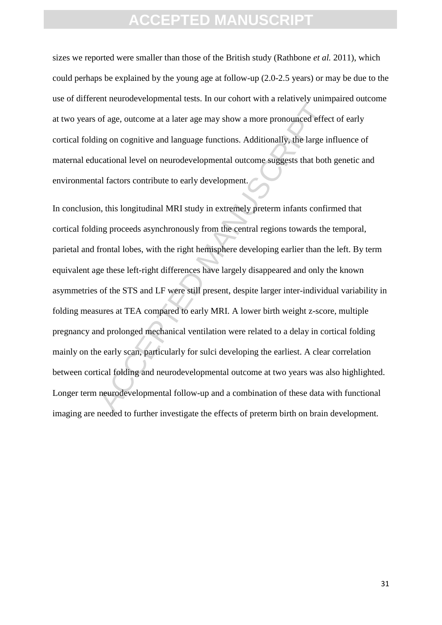### **ACEPTED MANUS**

sizes we reported were smaller than those of the British study (Rathbone *et al.* 2011), which could perhaps be explained by the young age at follow-up (2.0-2.5 years) or may be due to the use of different neurodevelopmental tests. In our cohort with a relatively unimpaired outcome at two years of age, outcome at a later age may show a more pronounced effect of early cortical folding on cognitive and language functions. Additionally, the large influence of maternal educational level on neurodevelopmental outcome suggests that both genetic and environmental factors contribute to early development.

The control of the state of the comparison of the control of the control of the control of the contribute of the contribute to early development.<br>
The large incational level on neurodevelopmental outcome suggests that both In conclusion, this longitudinal MRI study in extremely preterm infants confirmed that cortical folding proceeds asynchronously from the central regions towards the temporal, parietal and frontal lobes, with the right hemisphere developing earlier than the left. By term equivalent age these left-right differences have largely disappeared and only the known asymmetries of the STS and LF were still present, despite larger inter-individual variability in folding measures at TEA compared to early MRI. A lower birth weight z-score, multiple pregnancy and prolonged mechanical ventilation were related to a delay in cortical folding mainly on the early scan, particularly for sulci developing the earliest. A clear correlation between cortical folding and neurodevelopmental outcome at two years was also highlighted. Longer term neurodevelopmental follow-up and a combination of these data with functional imaging are needed to further investigate the effects of preterm birth on brain development.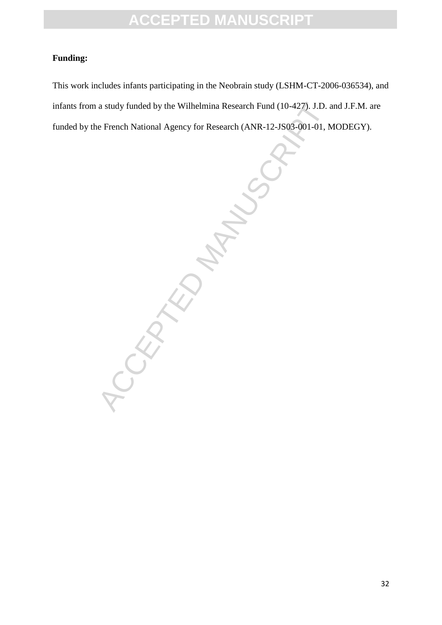#### **Funding:**

This work includes infants participating in the Neobrain study (LSHM-CT-2006-036534), and infants from a study funded by the Wilhelmina Research Fund (10-427). J.D. and J.F.M. are funded by the French National Agency for Research (ANR-12-JS03-001-01, MODEGY).

**CCEPTED MANUSCRIPT**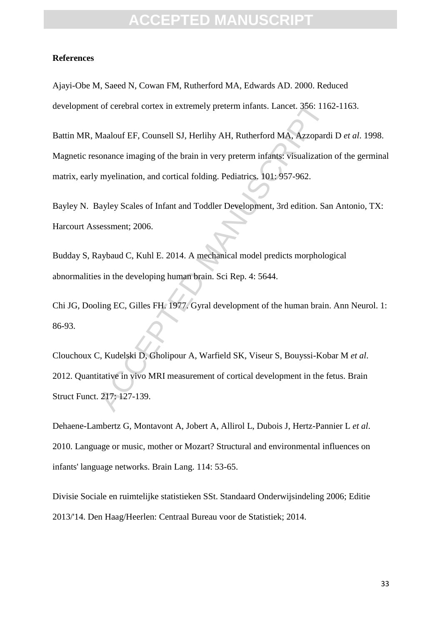#### **References**

Ajayi-Obe M, Saeed N, Cowan FM, Rutherford MA, Edwards AD. 2000. Reduced development of cerebral cortex in extremely preterm infants. Lancet. 356: 1162-1163.

Battin MR, Maalouf EF, Counsell SJ, Herlihy AH, Rutherford MA, Azzopardi D *et al*. 1998. Magnetic resonance imaging of the brain in very preterm infants: visualization of the germinal matrix, early myelination, and cortical folding. Pediatrics. 101: 957-962.

Bayley N. Bayley Scales of Infant and Toddler Development, 3rd edition. San Antonio, TX: Harcourt Assessment; 2006.

Budday S, Raybaud C, Kuhl E. 2014. A mechanical model predicts morphological abnormalities in the developing human brain. Sci Rep. 4: 5644.

Chi JG, Dooling EC, Gilles FH. 1977. Gyral development of the human brain. Ann Neurol. 1: 86-93.

t of cerebral cortex in extremely preterm infants. Lancet. 356: 116<br>Maalouf EF, Counsell SJ, Herlihy AH, Rutherford MA, Azzopardi<br>sonance imaging of the brain in very preterm infants: visualization<br>myelination, and cortica Clouchoux C, Kudelski D, Gholipour A, Warfield SK, Viseur S, Bouyssi-Kobar M *et al*. 2012. Quantitative in vivo MRI measurement of cortical development in the fetus. Brain Struct Funct. 217: 127-139.

Dehaene-Lambertz G, Montavont A, Jobert A, Allirol L, Dubois J, Hertz-Pannier L *et al*. 2010. Language or music, mother or Mozart? Structural and environmental influences on infants' language networks. Brain Lang. 114: 53-65.

Divisie Sociale en ruimtelijke statistieken SSt. Standaard Onderwijsindeling 2006; Editie 2013/'14. Den Haag/Heerlen: Centraal Bureau voor de Statistiek; 2014.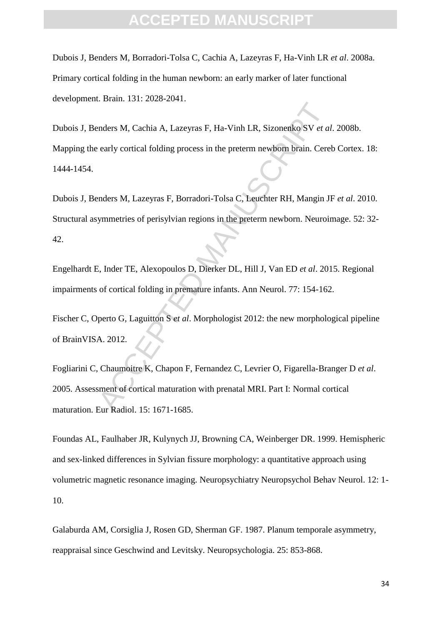### **FPTED MANU**

Dubois J, Benders M, Borradori-Tolsa C, Cachia A, Lazeyras F, Ha-Vinh LR *et al*. 2008a. Primary cortical folding in the human newborn: an early marker of later functional development. Brain. 131: 2028-2041.

Manuscript Carlier Calculary and Carlier Carlier Carlier Carlier Carlier Carlier Carlier Carlier Carlier Carlier Carlier Carlier Carlier Carlier Carlier Carlier Carlier Carlier Carlier Carlier Carlier Carlier Carlier Carli Dubois J, Benders M, Cachia A, Lazeyras F, Ha-Vinh LR, Sizonenko SV *et al*. 2008b. Mapping the early cortical folding process in the preterm newborn brain. Cereb Cortex. 18: 1444-1454.

Dubois J, Benders M, Lazeyras F, Borradori-Tolsa C, Leuchter RH, Mangin JF *et al*. 2010. Structural asymmetries of perisylvian regions in the preterm newborn. Neuroimage. 52: 32- 42.

Engelhardt E, Inder TE, Alexopoulos D, Dierker DL, Hill J, Van ED *et al*. 2015. Regional impairments of cortical folding in premature infants. Ann Neurol. 77: 154-162.

Fischer C, Operto G, Laguitton S *et al*. Morphologist 2012: the new morphological pipeline of BrainVISA. 2012.

Fogliarini C, Chaumoitre K, Chapon F, Fernandez C, Levrier O, Figarella-Branger D *et al*. 2005. Assessment of cortical maturation with prenatal MRI. Part I: Normal cortical maturation. Eur Radiol. 15: 1671-1685.

Foundas AL, Faulhaber JR, Kulynych JJ, Browning CA, Weinberger DR. 1999. Hemispheric and sex-linked differences in Sylvian fissure morphology: a quantitative approach using volumetric magnetic resonance imaging. Neuropsychiatry Neuropsychol Behav Neurol. 12: 1- 10.

Galaburda AM, Corsiglia J, Rosen GD, Sherman GF. 1987. Planum temporale asymmetry, reappraisal since Geschwind and Levitsky. Neuropsychologia. 25: 853-868.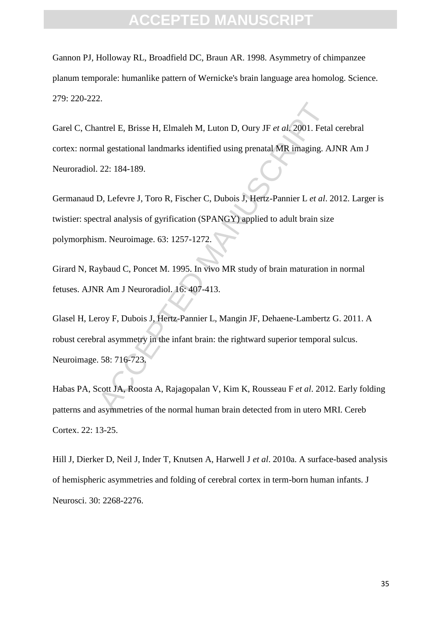Gannon PJ, Holloway RL, Broadfield DC, Braun AR. 1998. Asymmetry of chimpanzee planum temporale: humanlike pattern of Wernicke's brain language area homolog. Science. 279: 220-222.

The H. Brisse H, Elmaleh M, Luton D, Oury JF *et al.* 2001. Feta<br>
Independent Indian and MR imaging. A<br>
22: 184-189.<br>
D, Lefevre J, Toro R, Fischer C, Dubois J, Hertz-Pannier L *et al.*<br>
2. D, Lefevre J, Toro R, Fischer C, Garel C, Chantrel E, Brisse H, Elmaleh M, Luton D, Oury JF *et al*. 2001. Fetal cerebral cortex: normal gestational landmarks identified using prenatal MR imaging. AJNR Am J Neuroradiol. 22: 184-189.

Germanaud D, Lefevre J, Toro R, Fischer C, Dubois J, Hertz-Pannier L *et al*. 2012. Larger is twistier: spectral analysis of gyrification (SPANGY) applied to adult brain size polymorphism. Neuroimage. 63: 1257-1272.

Girard N, Raybaud C, Poncet M. 1995. In vivo MR study of brain maturation in normal fetuses. AJNR Am J Neuroradiol. 16: 407-413.

Glasel H, Leroy F, Dubois J, Hertz-Pannier L, Mangin JF, Dehaene-Lambertz G. 2011. A robust cerebral asymmetry in the infant brain: the rightward superior temporal sulcus. Neuroimage. 58: 716-723.

Habas PA, Scott JA, Roosta A, Rajagopalan V, Kim K, Rousseau F *et al*. 2012. Early folding patterns and asymmetries of the normal human brain detected from in utero MRI. Cereb Cortex. 22: 13-25.

Hill J, Dierker D, Neil J, Inder T, Knutsen A, Harwell J *et al*. 2010a. A surface-based analysis of hemispheric asymmetries and folding of cerebral cortex in term-born human infants. J Neurosci. 30: 2268-2276.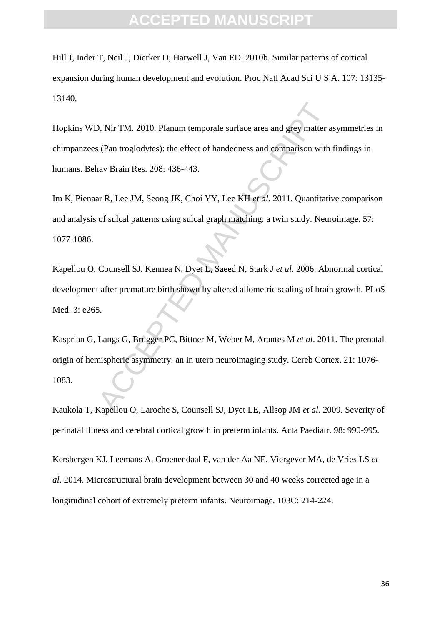### FPTED MANI

Hill J, Inder T, Neil J, Dierker D, Harwell J, Van ED. 2010b. Similar patterns of cortical expansion during human development and evolution. Proc Natl Acad Sci U S A. 107: 13135- 13140.

9, Nir TM. 2010. Planum temporale surface area and grey matter a<br>
(Pan troglodytes): the effect of handedness and comparison with<br>
nav Brain Res. 208: 436-443.<br>
ar R, Lee JM, Seong JK, Choi YY, Lee KH *et al.* 2011. Quanti Hopkins WD, Nir TM. 2010. Planum temporale surface area and grey matter asymmetries in chimpanzees (Pan troglodytes): the effect of handedness and comparison with findings in humans. Behav Brain Res. 208: 436-443.

Im K, Pienaar R, Lee JM, Seong JK, Choi YY, Lee KH *et al*. 2011. Quantitative comparison and analysis of sulcal patterns using sulcal graph matching: a twin study. Neuroimage. 57: 1077-1086.

Kapellou O, Counsell SJ, Kennea N, Dyet L, Saeed N, Stark J *et al*. 2006. Abnormal cortical development after premature birth shown by altered allometric scaling of brain growth. PLoS Med. 3: e265.

Kasprian G, Langs G, Brugger PC, Bittner M, Weber M, Arantes M *et al*. 2011. The prenatal origin of hemispheric asymmetry: an in utero neuroimaging study. Cereb Cortex. 21: 1076- 1083.

Kaukola T, Kapellou O, Laroche S, Counsell SJ, Dyet LE, Allsop JM *et al*. 2009. Severity of perinatal illness and cerebral cortical growth in preterm infants. Acta Paediatr. 98: 990-995.

Kersbergen KJ, Leemans A, Groenendaal F, van der Aa NE, Viergever MA, de Vries LS *et al*. 2014. Microstructural brain development between 30 and 40 weeks corrected age in a longitudinal cohort of extremely preterm infants. Neuroimage. 103C: 214-224.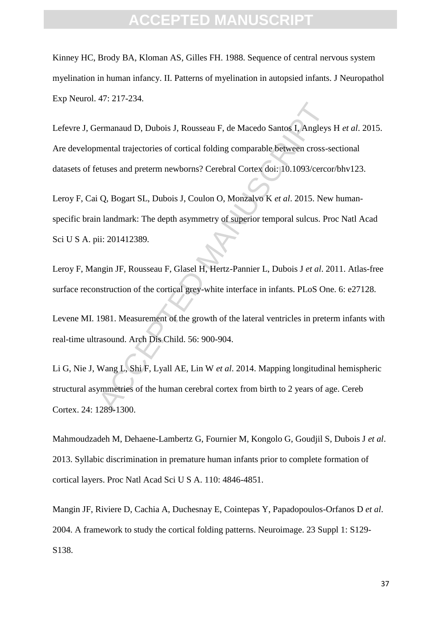### **ACEPTED MANU**

Kinney HC, Brody BA, Kloman AS, Gilles FH. 1988. Sequence of central nervous system myelination in human infancy. II. Patterns of myelination in autopsied infants. J Neuropathol Exp Neurol. 47: 217-234.

France Control F, de Macedo Santos I, Angleys<br>
ermanaud D, Dubois J, Rousseau F, de Macedo Santos I, Angleys<br>
mental trajectories of cortical folding comparable between cross-s<br>
etuses and preterm newborns? Cerebral Cortex Lefevre J, Germanaud D, Dubois J, Rousseau F, de Macedo Santos I, Angleys H *et al*. 2015. Are developmental trajectories of cortical folding comparable between cross-sectional datasets of fetuses and preterm newborns? Cerebral Cortex doi: 10.1093/cercor/bhv123.

Leroy F, Cai Q, Bogart SL, Dubois J, Coulon O, Monzalvo K *et al*. 2015. New humanspecific brain landmark: The depth asymmetry of superior temporal sulcus. Proc Natl Acad Sci U S A. pii: 201412389.

Leroy F, Mangin JF, Rousseau F, Glasel H, Hertz-Pannier L, Dubois J *et al*. 2011. Atlas-free surface reconstruction of the cortical grey-white interface in infants. PLoS One. 6: e27128.

Levene MI. 1981. Measurement of the growth of the lateral ventricles in preterm infants with real-time ultrasound. Arch Dis Child. 56: 900-904.

Li G, Nie J, Wang L, Shi F, Lyall AE, Lin W *et al*. 2014. Mapping longitudinal hemispheric structural asymmetries of the human cerebral cortex from birth to 2 years of age. Cereb Cortex. 24: 1289-1300.

Mahmoudzadeh M, Dehaene-Lambertz G, Fournier M, Kongolo G, Goudjil S, Dubois J *et al*. 2013. Syllabic discrimination in premature human infants prior to complete formation of cortical layers. Proc Natl Acad Sci U S A. 110: 4846-4851.

Mangin JF, Riviere D, Cachia A, Duchesnay E, Cointepas Y, Papadopoulos-Orfanos D *et al*. 2004. A framework to study the cortical folding patterns. Neuroimage. 23 Suppl 1: S129- S138.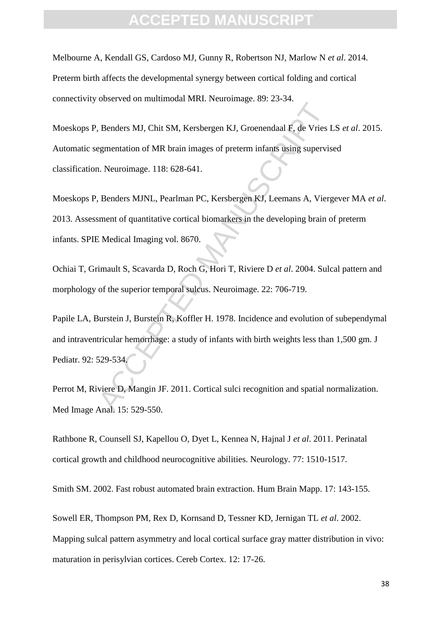### **ACEPTED MANU**

Melbourne A, Kendall GS, Cardoso MJ, Gunny R, Robertson NJ, Marlow N *et al*. 2014. Preterm birth affects the developmental synergy between cortical folding and cortical connectivity observed on multimodal MRI. Neuroimage. 89: 23-34.

Renders MJ, Chit SM, Kersbergen KJ, Groenendaal F, de Vries Integration of MR brain images of preterm infants using supervisors.<br>
1. Neuroimage. 118: 628-641.<br>
1. Benders MJNL, Pearlman PC, Kersbergen KJ, Leemans A, Vierge Moeskops P, Benders MJ, Chit SM, Kersbergen KJ, Groenendaal F, de Vries LS *et al*. 2015. Automatic segmentation of MR brain images of preterm infants using supervised classification. Neuroimage. 118: 628-641.

Moeskops P, Benders MJNL, Pearlman PC, Kersbergen KJ, Leemans A, Viergever MA *et al*. 2013. Assessment of quantitative cortical biomarkers in the developing brain of preterm infants. SPIE Medical Imaging vol. 8670.

Ochiai T, Grimault S, Scavarda D, Roch G, Hori T, Riviere D *et al*. 2004. Sulcal pattern and morphology of the superior temporal sulcus. Neuroimage. 22: 706-719.

Papile LA, Burstein J, Burstein R, Koffler H. 1978. Incidence and evolution of subependymal and intraventricular hemorrhage: a study of infants with birth weights less than 1,500 gm. J Pediatr. 92: 529-534.

Perrot M, Riviere D, Mangin JF. 2011. Cortical sulci recognition and spatial normalization. Med Image Anal. 15: 529-550.

Rathbone R, Counsell SJ, Kapellou O, Dyet L, Kennea N, Hajnal J *et al*. 2011. Perinatal cortical growth and childhood neurocognitive abilities. Neurology. 77: 1510-1517.

Smith SM. 2002. Fast robust automated brain extraction. Hum Brain Mapp. 17: 143-155.

Sowell ER, Thompson PM, Rex D, Kornsand D, Tessner KD, Jernigan TL *et al*. 2002. Mapping sulcal pattern asymmetry and local cortical surface gray matter distribution in vivo: maturation in perisylvian cortices. Cereb Cortex. 12: 17-26.